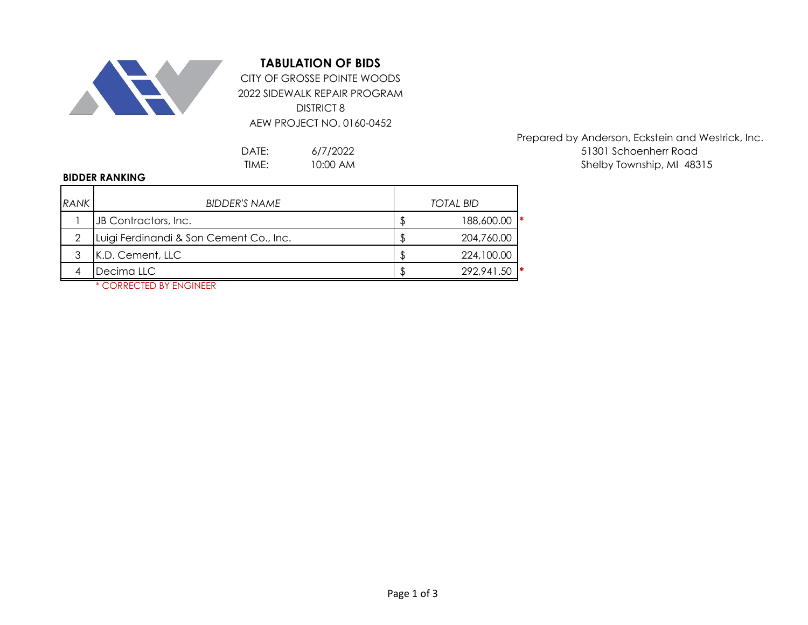

## **TABULATION OF BIDS**

2022 SIDEWALK REPAIR PROGRAM DISTRICT 8 AEW PROJECT NO. 0160-0452 CITY OF GROSSE POINTE WOODS

> 6/7/2022 10:00 AM

## **BIDDER RANKING**

| RANK | <b>BIDDER'S NAME</b>                    |  | <b>TOTAL BID</b> |  |  |
|------|-----------------------------------------|--|------------------|--|--|
|      |                                         |  |                  |  |  |
|      | JB Contractors, Inc.                    |  | 1∗<br>188,600.00 |  |  |
|      | Luigi Ferdinandi & Son Cement Co., Inc. |  | 204,760.00       |  |  |
|      | K.D. Cement, LLC                        |  | 224,100.00       |  |  |
|      | Decima LLC                              |  | 292,941.50       |  |  |

Prepared by Anderson, Eckstein and Westrick, Inc. DATE: 6/7/2022 6/12/2022 51301 Schoenherr Road TIME: 10:00 AM and the state of the Shelby Township, MI 48315

\* CORRECTED BY ENGINEER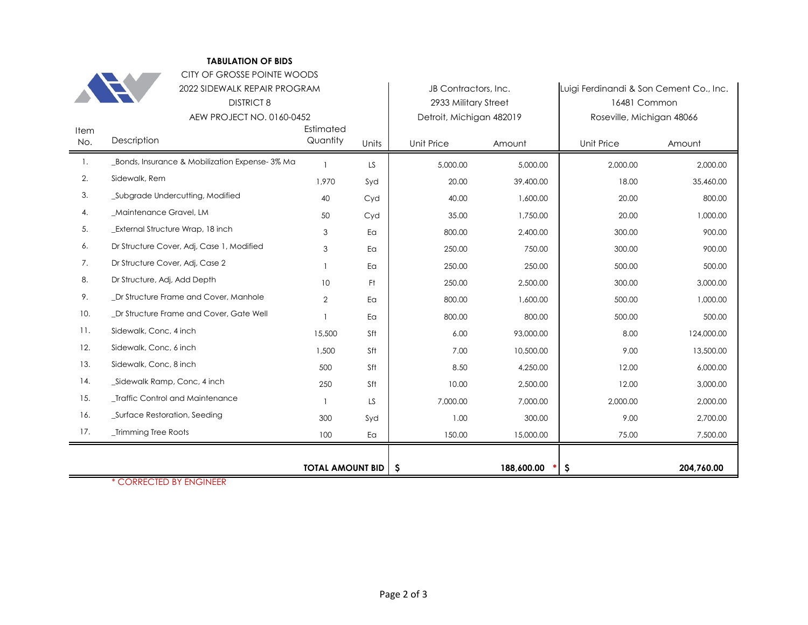|      | CITY OF GROSSE POINTE WOODS                    |                         |       |                          |            |                                         |            |
|------|------------------------------------------------|-------------------------|-------|--------------------------|------------|-----------------------------------------|------------|
|      | 2022 SIDEWALK REPAIR PROGRAM                   |                         |       | JB Contractors, Inc.     |            | Luigi Ferdinandi & Son Cement Co., Inc. |            |
|      | <b>DISTRICT 8</b>                              |                         |       | 2933 Military Street     |            | 16481 Common                            |            |
|      | AEW PROJECT NO. 0160-0452                      |                         |       | Detroit, Michigan 482019 |            | Roseville, Michigan 48066               |            |
| Item |                                                | Estimated               |       |                          |            |                                         |            |
| No.  | Description                                    | Quantity                | Units | Unit Price               | Amount     | Unit Price                              | Amount     |
| 1.   | _Bonds, Insurance & Mobilization Expense-3% Ma |                         | LS    | 5,000.00                 | 5,000.00   | 2,000.00                                | 2.000.00   |
| 2.   | Sidewalk, Rem                                  | 1,970                   | Syd   | 20.00                    | 39,400.00  | 18.00                                   | 35,460.00  |
| 3.   | _Subgrade Undercutting, Modified               | 40                      | Cyd   | 40.00                    | 1,600.00   | 20.00                                   | 800.00     |
| 4.   | Maintenance Gravel, LM                         | 50                      | Cyd   | 35.00                    | 1,750.00   | 20.00                                   | 1,000.00   |
| 5.   | <b>External Structure Wrap, 18 inch</b>        | 3                       | Ea    | 800.00                   | 2,400.00   | 300.00                                  | 900.00     |
| 6.   | Dr Structure Cover, Adj, Case 1, Modified      | 3                       | Ea    | 250.00                   | 750.00     | 300.00                                  | 900.00     |
| 7.   | Dr Structure Cover, Adj, Case 2                |                         | Ea    | 250.00                   | 250.00     | 500.00                                  | 500.00     |
| 8.   | Dr Structure, Adj, Add Depth                   | 10                      | Ft.   | 250.00                   | 2,500.00   | 300.00                                  | 3,000.00   |
| 9.   | _Dr Structure Frame and Cover, Manhole         | $\overline{2}$          | Ea    | 800.00                   | 1.600.00   | 500.00                                  | 1,000.00   |
| 10.  | _Dr Structure Frame and Cover, Gate Well       |                         | Ea    | 800.00                   | 800.00     | 500.00                                  | 500.00     |
| 11.  | Sidewalk, Conc, 4 inch                         | 15,500                  | Sft   | 6.00                     | 93,000.00  | 8.00                                    | 124,000.00 |
| 12.  | Sidewalk, Conc, 6 inch                         | 1,500                   | Sft   | 7.00                     | 10,500.00  | 9.00                                    | 13,500.00  |
| 13.  | Sidewalk, Conc, 8 inch                         | 500                     | Sft   | 8.50                     | 4,250.00   | 12.00                                   | 6,000.00   |
| 14.  | _Sidewalk Ramp, Conc, 4 inch                   | 250                     | Sft   | 10.00                    | 2,500.00   | 12.00                                   | 3,000.00   |
| 15.  | _Traffic Control and Maintenance               |                         | LS.   | 7,000.00                 | 7,000.00   | 2,000.00                                | 2,000.00   |
| 16.  | _Surface Restoration, Seeding                  | 300                     | Syd   | 1.00                     | 300.00     | 9.00                                    | 2,700.00   |
| 17.  | _Trimming Tree Roots                           | 100                     | Ea    | 150.00                   | 15,000.00  | 75.00                                   | 7,500.00   |
|      |                                                |                         |       |                          |            |                                         |            |
|      |                                                | <b>TOTAL AMOUNT BID</b> |       | -S                       | 188,600.00 | \$                                      | 204,760.00 |

**TABULATION OF BIDS**

\* CORRECTED BY ENGINEER